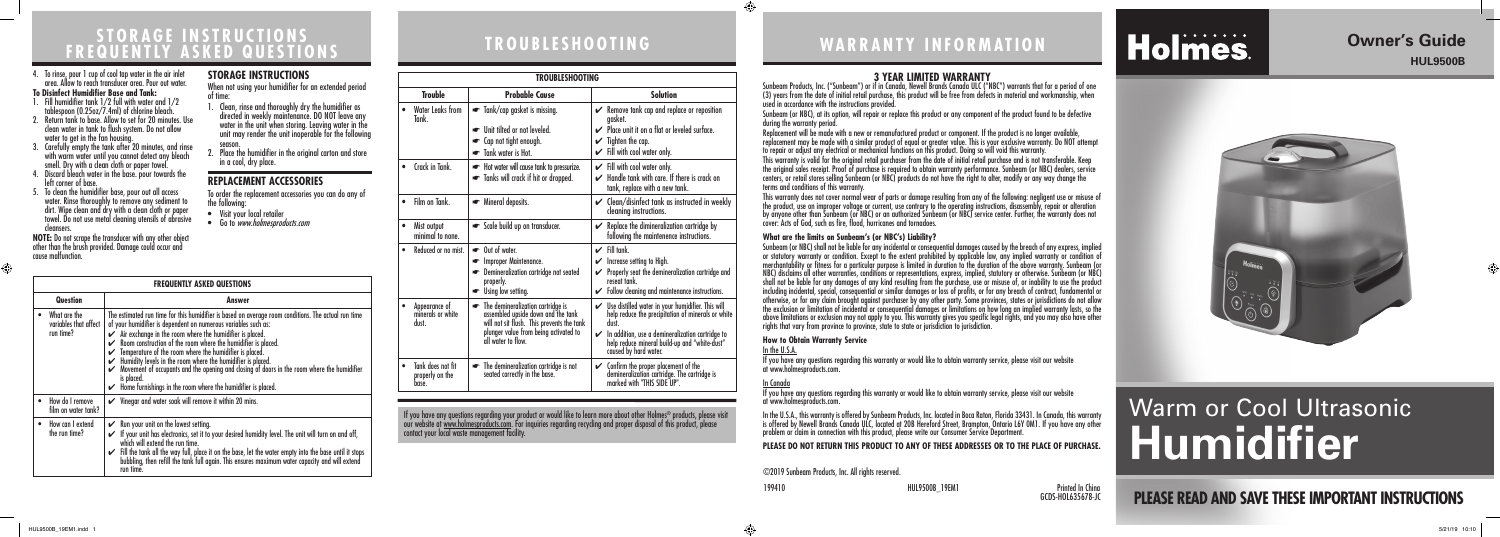# **WARRANTY INFORMATION**

# Holmes.

## **3 YEAR LIMITED WARRANTY**

Sunbeam Products, Inc. ("Sunbeam") or if in Canada, Newell Brands Canada ULC ("NBC") warrants that for a period of one (3) years from the date of initial retail purchase, this product will be free from defects in material and workmanship, when

Sunbeam (or NBC), at its option, will repair or replace this product or any component of the product found to be defective

Replacement will be made with a new or remanufactured product or component. If the product is no longer available, replacement may be made with a similar product of equal or greater value. This is your exclusive warranty. Do NOT attempt to repair or adjust any electrical or mechanical functions on this product. Doing so will void this warranty.

# used in accordance with the instructions provided. during the warranty period. terms and conditions of this warranty.

This warranty is valid for the original retail purchaser from the date of initial retail purchase and is not transferable. Keep the original sales receipt. Proof of purchase is required to obtain warranty performance. Sunbeam (or NBC) dealers, service centers, or retail stores selling Sunbeam (or NBC) products do not have the right to alter, modify or any way change the

This warranty does not cover normal wear of parts or damage resulting from any of the following: negligent use or misuse of the product, use on improper voltage or current, use contrary to the operating instructions, disassembly, repair or alteration by anyone other than Sunbeam (or NBC) or an authorized Sunbeam (or NBC) service center. Further, the warranty does not cover: Acts of God, such as fire, flood, hurricanes and tornadoes.

**What are the limits on Sunbeam's (or NBC's) Liability?**  Sunbeam (or NBC) shall not be liable for any incidental or consequential damages caused by the breach of any express, implied or statutory warranty or condition. Except to the extent prohibited by applicable law, any implied warranty or condition of merchantability or fitness for a particular purpose is limited in duration to the duration of the above warranty. Sunbeam (or NBC) disclaims all other warranties, conditions or representations, express, implied, statutory or otherwise. Sunbeam (or NBC) shall not be liable for any damages of any kind resulting from the purchase, use or misuse of, or inability to use the product including incidental, special, consequential or similar damages or loss of profits, or for any breach of contract, fundamental or otherwise, or for any claim brought against purchaser by any other party. Some provinces, states or jurisdictions do not allow the exclusion or limitation of incidental or consequential damages or limitations on how long an implied warranty lasts, so the above limitations or exclusion may not apply to you. This warranty gives you specific legal rights, and you may also have other rights that vary from province to province, state to state or jurisdiction to jurisdiction.

#### **How to Obtain Warranty Service** In the U.S.A.

If you have any questions regarding this warranty or would like to obtain warranty service, please visit our website at www.holmesproducts.com.

#### In Canada

If you have any questions regarding this warranty or would like to obtain warranty service, please visit our website at www.holmesproducts.com.

⊕

 $\bigoplus$ 

In the U.S.A., this warranty is offered by Sunbeam Products, Inc. located in Boca Raton, Florida 33431. In Canada, this warranty is offered by Newell Brands Canada ULC, located at 20B Hereford Street, Brampton, Ontario L6Y 0M1. If you have any other problem or claim in connection with this product, please write our Consumer Service Department.

#### **PLEASE DO NOT RETURN THIS PRODUCT TO ANY OF THESE ADDRESSES OR TO THE PLACE OF PURCHASE.**

©2019 Sunbeam Products, Inc. All rights reserved.

## **TROUBLESHOOTING STORAGE INSTRUCTIONS FREQUENTLY ASKED QUESTIONS**

- Visit your local retailer
- Go to www.holmesproducts.com

#### **TROUBLESHOOTING Trouble Probable Cause Solution** • Water Leaks from Tank.  $\Box$  Tank/cap gasket is missing. ☛ Unit tilted or not leveled. ☛ Cap not tight enough. ☛ Tank water is Hot.  $\mathcal V$  Remove tank cap and replace or reposition gasket. ✔ Place unit it on a flat or leveled surface.  $\checkmark$  Tighten the cap.  $\mathcal V$  Fill with cool water only. • Crack in Tank. ☛ Hot water will cause tank to pressurize. ☛ Tanks will crack if hit or dropped.  $\checkmark$  Fill with cool water only.  $\mathcal V$  Handle tank with care. If there is crack on tank, replace with a new tank. Film on Tank.  $\Box$  Mineral deposits.  $\Box$  Clean/disinfect tank as instructed in weekly cleaning instructions. • Mist output minimal to none.  $\bullet$  Scale build up on transducer.  $\bullet\hspace{1.9mm}\bullet\hspace{1.9mm}$  Replace the dimineralization cartridge by following the maintenence instructions. • Reduced or no mist. I ← Out of water. ☛ Improper Maintenance. **■** Demineralization cartridge not seated properly. ☛ Using low setting.  $\mathcal V$  Fill tank.  $\mathcal V$  Increase setting to High.  $\mathcal V$  Properly seat the demineralization cartridge and reseat tank.  $\checkmark$  Follow cleaning and maintenance instructions. • Appearance of minerals or white dust. ☛ The demineralization cartridge is assembled upside down and the tank will not sit flush. This prevents the tank plunger value from being activated to all water to flow.  $\mathcal V$  Use distilled water in your humidifier. This will help reduce the precipitation of minerals or white dust.  $\mathcal V$  In addition, use a demineralization cartridge to help reduce mineral build-up and "white-dust" caused by hard water. • Tank does not fit properly on the base. **E** The demineralization cartridge is not seated correctly in the base.  $\mathcal V$  Confirm the proper placement of the demineralization cartridge. The cartridge is marked with "THIS SIDE UP".

| <b>FREQUENTLY ASKED QUESTIONS</b> |                                                    |                                                                                                                                                                                                                                                                                                                                                                                                                                                                                                                                                                                                                                             |
|-----------------------------------|----------------------------------------------------|---------------------------------------------------------------------------------------------------------------------------------------------------------------------------------------------------------------------------------------------------------------------------------------------------------------------------------------------------------------------------------------------------------------------------------------------------------------------------------------------------------------------------------------------------------------------------------------------------------------------------------------------|
| <b>Question</b>                   |                                                    | Answer                                                                                                                                                                                                                                                                                                                                                                                                                                                                                                                                                                                                                                      |
|                                   | What are the<br>variables that affect<br>run time? | The estimated run time for this humidifier is based on average room conditions. The actual run time<br>of your humidifier is dependent on numerous variables such as:<br>$\swarrow$ Air exchange in the room where the humidifier is placed.<br>Room construction of the room where the humidifier is placed.<br>Temperature of the room where the humidifier is placed.<br>Humidity levels in the room where the humidifier is placed.<br>V<br>Movement of occupants and the opening and closing of doors in the room where the humidifier<br>V<br>is placed.<br>$\checkmark$ Home furnishings in the room where the humidifier is placed. |
|                                   | How do I remove<br>film on water tank?             | $\checkmark$ Vinegar and water soak will remove it within 20 mins.                                                                                                                                                                                                                                                                                                                                                                                                                                                                                                                                                                          |
|                                   | How can I extend<br>the run time?                  | Run your unit on the lowest setting.<br>V<br>$\checkmark$ If your unit has electronics, set it to your desired humidity level. The unit will turn on and off,<br>which will extend the run time.<br>Fill the tank all the way full, place it on the base, let the water empty into the base until it stops<br>V<br>bubbling, then refill the tank full again. This ensures maximum water capacity and will extend<br>run time.                                                                                                                                                                                                              |

If you have any questions regarding your product or would like to learn more about other Holmes® products, please visit our website at <u>www.holmesproducts.com</u>. For inquiries regarding recycling and proper disposal of this product, please contact your local waste management facility.

> 199410 HUL9500B\_19EM1 Printed In China GCDS-HOL635678-JC



- 4. To rinse, pour 1 cup of cool tap water in the air inlet area. Allow to reach transducer area. Pour out water. **To Disinfect Humidifier Base and Tank:**
- 1. Fill humidifier tank 1/2 full with water and 1/2 tablespoon (0.25oz/7.4ml) of chlorine bleach.
- 2. Return tank to base. Allow to set for 20 minutes. Use clean water in tank to flush system. Do not allow water to get in the fan housing.
- 3. Carefully empty the tank after 20 minutes, and rinse with warm water until you cannot detect any bleach smell. Dry with a clean cloth or paper towel.
- 4. Discard bleach water in the base. pour towards the left corner of base.
- 5. To clean the humidifier base, pour out all access water. Rinse thoroughly to remove any sediment to dirt. Wipe clean and dry with a clean cloth or paper towel. Do not use metal cleaning utensils of abrasive cleansers.

**NOTE:** Do not scrape the transducer with any other object other than the brush provided. Damage could occur and cause malfunction.

#### **STORAGE INSTRUCTIONS**

When not using your humidifier for an extended period of time:

- 1. Clean, rinse and thoroughly dry the humidifier as directed in weekly maintenance. DO NOT leave any water in the unit when storing. Leaving water in the unit may render the unit inoperable for the following season.
- 2. Place the humidifier in the original carton and store in a cool, dry place.

#### **REPLACEMENT ACCESSORIES**

To order the replacement accessories you can do any of the following:

# **PLEASE READ AND SAVE THESE IMPORTANT INSTRUCTIONS**

⊕

## **Owner's Guide HUL9500B**

# Warm or Cool Ultrasonic **Humidifier**